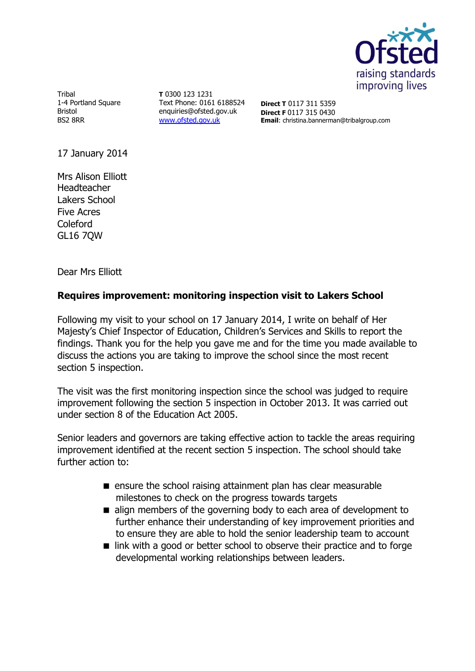

Tribal 1-4 Portland Square Bristol BS2 8RR

**T** 0300 123 1231 Text Phone: 0161 6188524 enquiries@ofsted.gov.uk [www.ofsted.gov.uk](http://www.ofsted.gov.uk/)

**Direct T** 0117 311 5359 **Direct F** 0117 315 0430 **Email**: christina.bannerman@tribalgroup.com

17 January 2014

Mrs Alison Elliott Headteacher Lakers School Five Acres Coleford GL16 7QW

Dear Mrs Elliott

# **Requires improvement: monitoring inspection visit to Lakers School**

Following my visit to your school on 17 January 2014, I write on behalf of Her Majesty's Chief Inspector of Education, Children's Services and Skills to report the findings. Thank you for the help you gave me and for the time you made available to discuss the actions you are taking to improve the school since the most recent section 5 inspection.

The visit was the first monitoring inspection since the school was judged to require improvement following the section 5 inspection in October 2013. It was carried out under section 8 of the Education Act 2005.

Senior leaders and governors are taking effective action to tackle the areas requiring improvement identified at the recent section 5 inspection. The school should take further action to:

- **E** ensure the school raising attainment plan has clear measurable milestones to check on the progress towards targets
- align members of the governing body to each area of development to further enhance their understanding of key improvement priorities and to ensure they are able to hold the senior leadership team to account
- link with a good or better school to observe their practice and to forge developmental working relationships between leaders.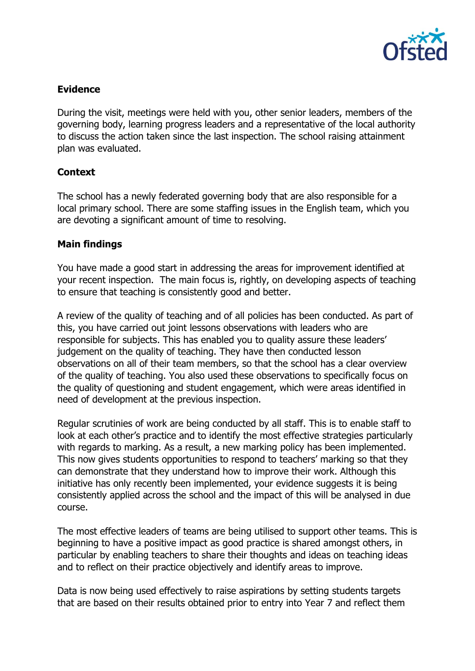

## **Evidence**

During the visit, meetings were held with you, other senior leaders, members of the governing body, learning progress leaders and a representative of the local authority to discuss the action taken since the last inspection. The school raising attainment plan was evaluated.

# **Context**

The school has a newly federated governing body that are also responsible for a local primary school. There are some staffing issues in the English team, which you are devoting a significant amount of time to resolving.

#### **Main findings**

You have made a good start in addressing the areas for improvement identified at your recent inspection. The main focus is, rightly, on developing aspects of teaching to ensure that teaching is consistently good and better.

A review of the quality of teaching and of all policies has been conducted. As part of this, you have carried out joint lessons observations with leaders who are responsible for subjects. This has enabled you to quality assure these leaders' judgement on the quality of teaching. They have then conducted lesson observations on all of their team members, so that the school has a clear overview of the quality of teaching. You also used these observations to specifically focus on the quality of questioning and student engagement, which were areas identified in need of development at the previous inspection.

Regular scrutinies of work are being conducted by all staff. This is to enable staff to look at each other's practice and to identify the most effective strategies particularly with regards to marking. As a result, a new marking policy has been implemented. This now gives students opportunities to respond to teachers' marking so that they can demonstrate that they understand how to improve their work. Although this initiative has only recently been implemented, your evidence suggests it is being consistently applied across the school and the impact of this will be analysed in due course.

The most effective leaders of teams are being utilised to support other teams. This is beginning to have a positive impact as good practice is shared amongst others, in particular by enabling teachers to share their thoughts and ideas on teaching ideas and to reflect on their practice objectively and identify areas to improve.

Data is now being used effectively to raise aspirations by setting students targets that are based on their results obtained prior to entry into Year 7 and reflect them